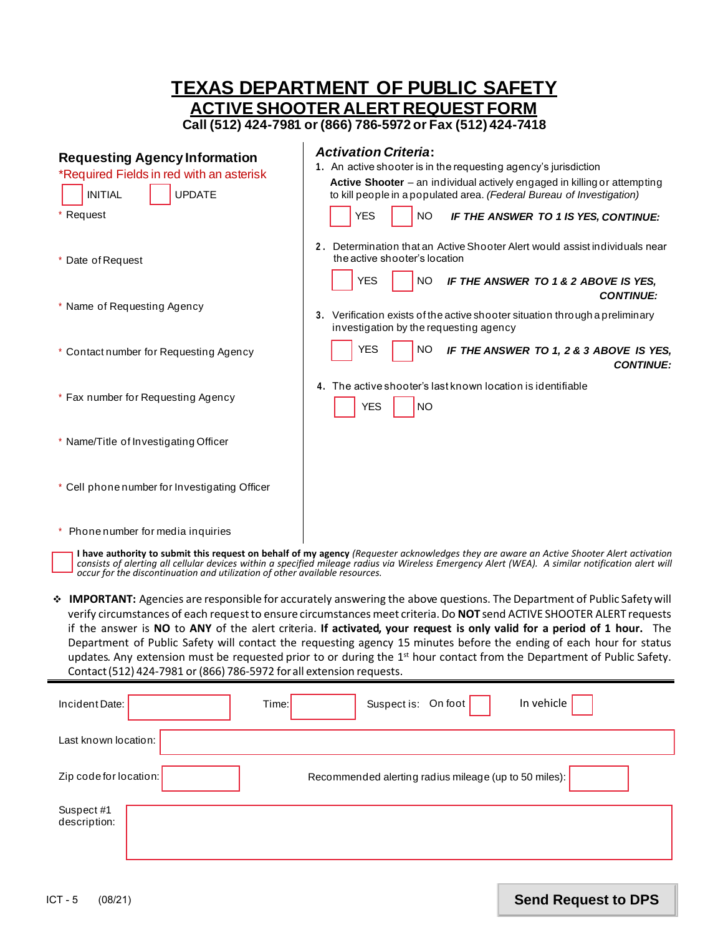| <b>TEXAS DEPARTMENT OF PUBLIC SAFETY</b><br><b>ACTIVE SHOOTER ALERT REQUEST FORM</b><br>Call (512) 424-7981 or (866) 786-5972 or Fax (512) 424-7418 |                                                                                                                                                                                                                                                                                                                        |
|-----------------------------------------------------------------------------------------------------------------------------------------------------|------------------------------------------------------------------------------------------------------------------------------------------------------------------------------------------------------------------------------------------------------------------------------------------------------------------------|
| <b>Requesting Agency Information</b><br>*Required Fields in red with an asterisk<br><b>UPDATE</b><br><b>INITIAL</b><br>* Request                    | <b>Activation Criteria:</b><br>1. An active shooter is in the requesting agency's jurisdiction<br>Active Shooter - an individual actively engaged in killing or attempting<br>to kill people in a populated area. (Federal Bureau of Investigation)<br><b>YES</b><br><b>NO</b><br>IF THE ANSWER TO 1 IS YES, CONTINUE: |
| * Date of Request                                                                                                                                   | 2. Determination that an Active Shooter Alert would assist individuals near<br>the active shooter's location<br><b>YES</b><br>NO.<br>IF THE ANSWER TO 1 & 2 ABOVE IS YES,                                                                                                                                              |
| * Name of Requesting Agency                                                                                                                         | <b>CONTINUE:</b><br>3. Verification exists of the active shooter situation through a preliminary<br>investigation by the requesting agency                                                                                                                                                                             |
| * Contact number for Requesting Agency                                                                                                              | <b>YES</b><br><b>NO</b><br>IF THE ANSWER TO 1, 2 & 3 ABOVE IS YES,<br><b>CONTINUE:</b>                                                                                                                                                                                                                                 |
| * Fax number for Requesting Agency                                                                                                                  | 4. The active shooter's last known location is identifiable<br><b>NO</b><br><b>YES</b>                                                                                                                                                                                                                                 |
| * Name/Title of Investigating Officer                                                                                                               |                                                                                                                                                                                                                                                                                                                        |
| * Cell phone number for Investigating Officer                                                                                                       |                                                                                                                                                                                                                                                                                                                        |
| * Phone number for media inquiries                                                                                                                  |                                                                                                                                                                                                                                                                                                                        |
|                                                                                                                                                     | I have authority to submit this request on behalf of my agency (Requester acknowledges they are aware an Active Shooter Alert activation consists of alerting all cellular devices within a specified mileage radius via Wirel                                                                                         |

*occur for the discontinuation and utilization of other available resources.*

❖ **IMPORTANT:** Agencies are responsible for accurately answering the above questions. The Department of Public Safety will verify circumstances of each request to ensure circumstances meet criteria. Do **NOT** send ACTIVE SHOOTER ALERT requests if the answer is **NO** to **ANY** of the alert criteria. **If activated, your request is only valid for a period of 1 hour.** The Department of Public Safety will contact the requesting agency 15 minutes before the ending of each hour for status updates. Any extension must be requested prior to or during the  $1<sup>st</sup>$  hour contact from the Department of Public Safety. Contact (512) 424-7981 or (866) 786-5972 for all extension requests.

| Incident Date:             | In vehicle<br>Suspect is: On foot<br>Time:            |
|----------------------------|-------------------------------------------------------|
| Last known location:       |                                                       |
| Zip code for location:     | Recommended alerting radius mileage (up to 50 miles): |
| Suspect #1<br>description: |                                                       |

## **Send Request to DPS**